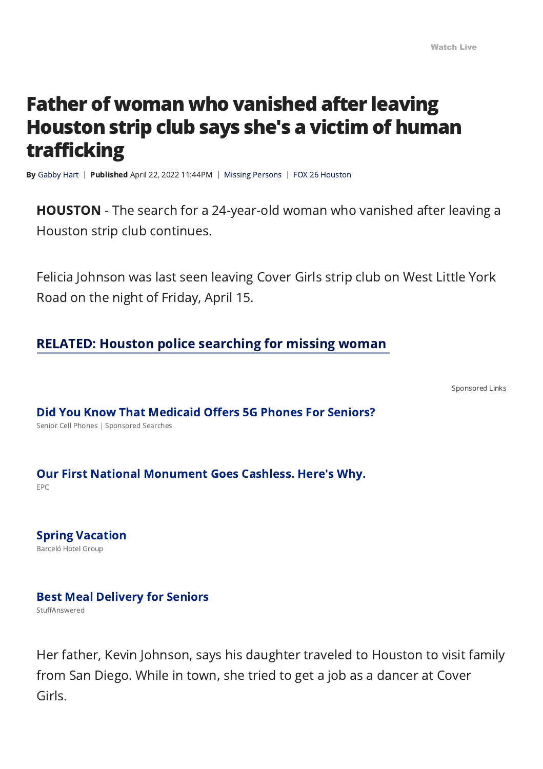# Father of woman who vanished after leaving Houston strip club says she's a victim of human trafficking

**By** [Gabby](https://www.fox26houston.com/person/h/gabby-hart) Hart | Published April 22, 2022 11:44PM | Missing [Persons](https://www.fox26houston.com/tag/crime-publicsafety/missing-persons) | FOX 26 [Houston](https://www.fox26houston.com/)

HOUSTON - The search for a 24-year-old woman who vanished after leaving a Houston strip club continues.

Felicia Johnson was last seen leaving Cover Girls strip club on West Little York Road on the night of Friday, April 15.

### RELATED: Houston police [searching](https://www.fox26houston.com/news/houston-police-searching-for-missing-woman-last-seen-on-friday) for missing woman

[Sponsored](https://popup.taboola.com/en/?template=colorbox&utm_source=myfox-myfoxhouston&utm_medium=referral&utm_content=thumbnails-m:Desktop%20-%20Mid%20Article%20-%20New:) Links

Senior Cell Phones | Sponsored Searches Did You Know That [Medicaid](https://gosearches.net/index.php?rgid=210642&sub=myfox-myfoxhouston#tblciGiD1Jfu93nRB4j6dl2an0-lWqPw4GILtIrBWs8pcvflIYiD6wlUo9f-tmKD8nPG_AQ) Offers 5G Phones For Seniors?

Our First National [Monument](https://clk.srv.stackadapt.com/clk?aid=1-2250-165099402626796753718346-1&cid=229104&adid=1938893&sid=0&uid=DqX-fD5baMxjPsHCVRzOFA&did=fox26houston.com%3A%3A140&adurl=https%3A%2F%2Feast.srv.stackadapt.com&t=1650994026&brandname=EPC&adheading=Our+First+National+Monument+Goes+Cashless.+Here%27s+Why.&iidx=0&nid=140&bip=MTQzLjIzMS4yNDkuMTQx&isp=1&curl=aHR0cHM6Ly9lbGVjdHJvbmljcGF5bWVudHNjb2FsaXRpb24ub3JnLzIwMjIvMDQvMTIvZXBjLWFwcGxhdWRzLW5hdGlvbmFsLXBhcmtzLXNlcnZpY2VzLWRlY2lzaW9uLXRvLWdvLWNhc2hsZXNzLw%3D%3D&r=&utm_source=taboola&utm_medium=referral&tblci=GiD1Jfu93nRB4j6dl2an0-lWqPw4GILtIrBWs8pcvflIYiDe00kolqGO0aCBuM9m#tblciGiD1Jfu93nRB4j6dl2an0-lWqPw4GILtIrBWs8pcvflIYiDe00kolqGO0aCBuM9m) Goes Cashless. Here's Why. EPC

Spring [Vacation](https://ad.doubleclick.net/ddm/trackclk/N79604.2069703TABOOLA/B27060595.329531971;dc_trk_aid=521401014;dc_trk_cid=164608386;dc_lat=;dc_rdid=;tag_for_child_directed_treatment=;tfua=;ltd=?utm_source=taboola&utm_medium=cpc&utm_site=myfox-myfoxhouston&tblci=GiD1Jfu93nRB4j6dl2an0-lWqPw4GILtIrBWs8pcvflIYiC331coraHvs5GN2pc4#tblciGiD1Jfu93nRB4j6dl2an0-lWqPw4GILtIrBWs8pcvflIYiC331coraHvs5GN2pc4) Barceló Hotel Group

#### Best Meal [Delivery](https://stuffanswered.com/results/?utm_medium=paid&utm_source=taboola&utm_campaign=us-tb2clkctaopshop-yg-meal-smrt-q53-web&campaign_id=13204534&adid=3042200698&utm_term=myfox-myfoxhouston&placement=myfox-myfoxhouston&imp=49037&campaign_id=13204534&utm_term=myfox-myfoxhouston&ts=2022-04-26+17%3A27%3A06#tblciGiD1Jfu93nRB4j6dl2an0-lWqPw4GILtIrBWs8pcvflIYiDjkE8ot630saTk3-uJAQ) for Seniors

StuffAnswered

Her father, Kevin Johnson, says his daughter traveled to Houston to visit family from San Diego. While in town, she tried to get a job as a dancer at Cover Girls.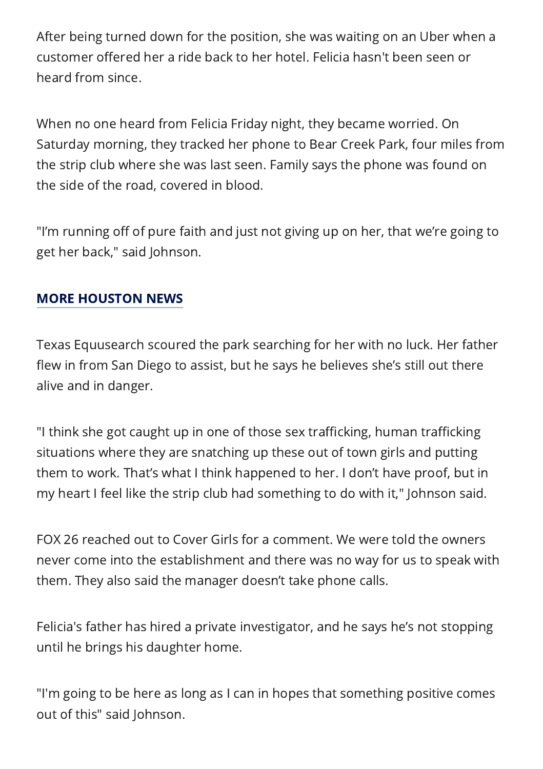After being turned down for the position, she was waiting on an Uber when a customer offered her a ride back to her hotel. Felicia hasn't been seen or heard from since.

When no one heard from Felicia Friday night, they became worried. On Saturday morning, they tracked her phone to Bear Creek Park, four miles from the strip club where she was last seen. Family says the phone was found on the side of the road, covered in blood.

"I'm running off of pure faith and just not giving up on her, that we're going to get her back," said Johnson.

# MORE [HOUSTON](https://www.fox26houston.com/tag/us/tx/houston/) NEWS

Texas Equusearch scoured the park searching for her with no luck. Her father flew in from San Diego to assist, but he says he believes she's still out there alive and in danger.

"I think she got caught up in one of those sex trafficking, human trafficking situations where they are snatching up these out of town girls and putting them to work. That's what I think happened to her. I don't have proof, but in my heart I feel like the strip club had something to do with it," Johnson said.

FOX 26 reached out to Cover Girls for a comment. We were told the owners never come into the establishment and there was no way for us to speak with them. They also said the manager doesn't take phone calls.

Felicia's father has hired a private investigator, and he says he's not stopping until he brings his daughter home.

"I'm going to be here as long as I can in hopes that something positive comes out of this" said Johnson.